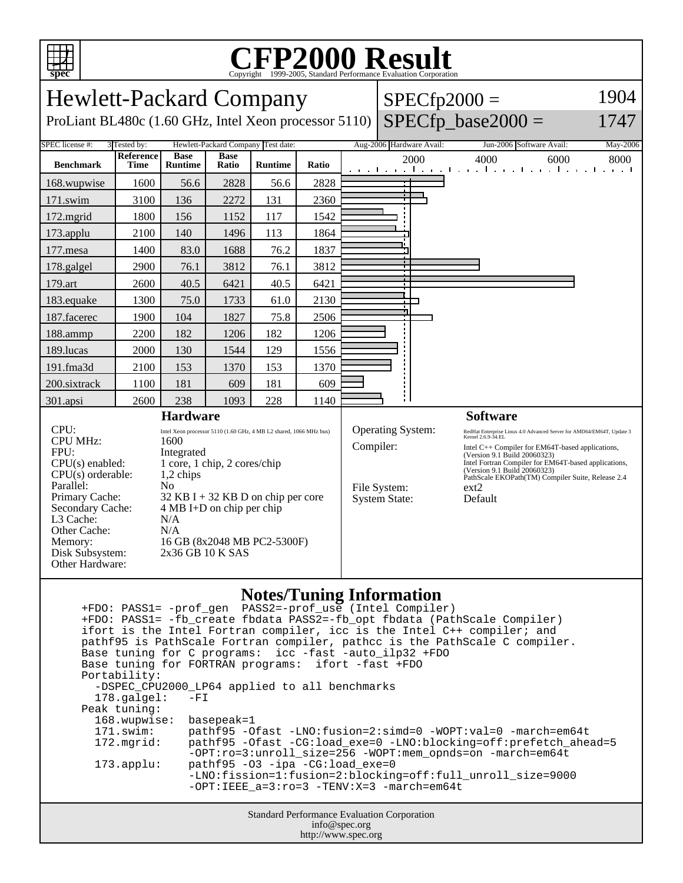

## C<sub>opyright</sub> ©1999-2005, Standard Performance Evaluation Corporation

| <b>Hewlett-Packard Company</b>                                                                                                                                                                               |                          |                                                                                                                                                                                                                                                                                                 |                             |                |              |  | $SPECfp2000 =$                                                                | 1904                     |                                                                                                                                                                                                                                                                                                                                                     |          |
|--------------------------------------------------------------------------------------------------------------------------------------------------------------------------------------------------------------|--------------------------|-------------------------------------------------------------------------------------------------------------------------------------------------------------------------------------------------------------------------------------------------------------------------------------------------|-----------------------------|----------------|--------------|--|-------------------------------------------------------------------------------|--------------------------|-----------------------------------------------------------------------------------------------------------------------------------------------------------------------------------------------------------------------------------------------------------------------------------------------------------------------------------------------------|----------|
| ProLiant BL480c (1.60 GHz, Intel Xeon processor 5110)                                                                                                                                                        |                          | $SPECfp$ base2000 =                                                                                                                                                                                                                                                                             | 1747                        |                |              |  |                                                                               |                          |                                                                                                                                                                                                                                                                                                                                                     |          |
| SPEC license #:<br>Hewlett-Packard Company Test date:<br>3 Tested by:                                                                                                                                        |                          |                                                                                                                                                                                                                                                                                                 |                             |                |              |  |                                                                               | Aug-2006 Hardware Avail: | Jun-2006 Software Avail:                                                                                                                                                                                                                                                                                                                            | May-2006 |
| <b>Benchmark</b>                                                                                                                                                                                             | Reference<br><b>Time</b> | <b>Base</b><br><b>Runtime</b>                                                                                                                                                                                                                                                                   | <b>Base</b><br><b>Ratio</b> | <b>Runtime</b> | <b>Ratio</b> |  |                                                                               | 2000                     | 4000<br>6000<br>المتوجا وتوجا وتوجا وتوجا وتوجا وتوجا وتوجا وتو                                                                                                                                                                                                                                                                                     | 8000     |
| 168.wupwise                                                                                                                                                                                                  | 1600                     | 56.6                                                                                                                                                                                                                                                                                            | 2828                        | 56.6           | 2828         |  |                                                                               |                          |                                                                                                                                                                                                                                                                                                                                                     |          |
| 171.swim                                                                                                                                                                                                     | 3100                     | 136                                                                                                                                                                                                                                                                                             | 2272                        | 131            | 2360         |  |                                                                               |                          |                                                                                                                                                                                                                                                                                                                                                     |          |
| 172.mgrid                                                                                                                                                                                                    | 1800                     | 156                                                                                                                                                                                                                                                                                             | 1152                        | 117            | 1542         |  |                                                                               |                          |                                                                                                                                                                                                                                                                                                                                                     |          |
| 173.applu                                                                                                                                                                                                    | 2100                     | 140                                                                                                                                                                                                                                                                                             | 1496                        | 113            | 1864         |  |                                                                               |                          |                                                                                                                                                                                                                                                                                                                                                     |          |
| 177.mesa                                                                                                                                                                                                     | 1400                     | 83.0                                                                                                                                                                                                                                                                                            | 1688                        | 76.2           | 1837         |  |                                                                               |                          |                                                                                                                                                                                                                                                                                                                                                     |          |
| 178.galgel                                                                                                                                                                                                   | 2900                     | 76.1                                                                                                                                                                                                                                                                                            | 3812                        | 76.1           | 3812         |  |                                                                               |                          |                                                                                                                                                                                                                                                                                                                                                     |          |
| 179.art                                                                                                                                                                                                      | 2600                     | 40.5                                                                                                                                                                                                                                                                                            | 6421                        | 40.5           | 6421         |  |                                                                               |                          |                                                                                                                                                                                                                                                                                                                                                     |          |
| 183.equake                                                                                                                                                                                                   | 1300                     | 75.0                                                                                                                                                                                                                                                                                            | 1733                        | 61.0           | 2130         |  |                                                                               |                          |                                                                                                                                                                                                                                                                                                                                                     |          |
| 187.facerec                                                                                                                                                                                                  | 1900                     | 104                                                                                                                                                                                                                                                                                             | 1827                        | 75.8           | 2506         |  |                                                                               |                          |                                                                                                                                                                                                                                                                                                                                                     |          |
| 188.ammp                                                                                                                                                                                                     | 2200                     | 182                                                                                                                                                                                                                                                                                             | 1206                        | 182            | 1206         |  |                                                                               |                          |                                                                                                                                                                                                                                                                                                                                                     |          |
| 189.lucas                                                                                                                                                                                                    | 2000                     | 130                                                                                                                                                                                                                                                                                             | 1544                        | 129            | 1556         |  |                                                                               |                          |                                                                                                                                                                                                                                                                                                                                                     |          |
| 191.fma3d                                                                                                                                                                                                    | 2100                     | 153                                                                                                                                                                                                                                                                                             | 1370                        | 153            | 1370         |  |                                                                               |                          |                                                                                                                                                                                                                                                                                                                                                     |          |
| 200.sixtrack                                                                                                                                                                                                 | 1100                     | 181                                                                                                                                                                                                                                                                                             | 609                         | 181            | 609          |  |                                                                               |                          |                                                                                                                                                                                                                                                                                                                                                     |          |
| 301.apsi                                                                                                                                                                                                     | 2600                     | 238                                                                                                                                                                                                                                                                                             | 1093                        | 228            | 1140         |  |                                                                               |                          |                                                                                                                                                                                                                                                                                                                                                     |          |
| <b>Hardware</b>                                                                                                                                                                                              |                          |                                                                                                                                                                                                                                                                                                 |                             |                |              |  |                                                                               |                          | <b>Software</b>                                                                                                                                                                                                                                                                                                                                     |          |
| CPU:<br><b>CPU MHz:</b><br>FPU:<br>$CPU(s)$ enabled:<br>$CPU(s)$ orderable:<br>Parallel:<br>Primary Cache:<br>Secondary Cache:<br>L3 Cache:<br>Other Cache:<br>Memory:<br>Disk Subsystem:<br>Other Hardware: |                          | Intel Xeon processor 5110 (1.60 GHz, 4 MB L2 shared, 1066 MHz bus)<br>1600<br>Integrated<br>1 core, 1 chip, 2 cores/chip<br>1,2 chips<br>N <sub>0</sub><br>$32$ KB I + 32 KB D on chip per core<br>$4 MB I+D$ on chip per chip<br>N/A<br>N/A<br>16 GB (8x2048 MB PC2-5300F)<br>2x36 GB 10 K SAS |                             |                |              |  | <b>Operating System:</b><br>Compiler:<br>File System:<br><b>System State:</b> |                          | RedHat Enterprise Linux 4.0 Advanced Server for AMD64/EM64T, Update 3<br>Kernel 2.6.9-34.EL<br>Intel C++ Compiler for EM64T-based applications,<br>(Version 9.1 Build 20060323)<br>Intel Fortran Compiler for EM64T-based applications,<br>(Version 9.1 Build 20060323)<br>PathScale EKOPath(TM) Compiler Suite, Release 2.4<br>$ext{2}$<br>Default |          |

## **Notes/Tuning Information**

Standard Performance Evaluation Corporation info@spec.org +FDO: PASS1= -prof\_gen PASS2=-prof\_use (Intel Compiler) +FDO: PASS1= -fb\_create fbdata PASS2=-fb\_opt fbdata (PathScale Compiler) ifort is the Intel Fortran compiler, icc is the Intel C++ compiler; and pathf95 is PathScale Fortran compiler, pathcc is the PathScale C compiler. Base tuning for C programs: icc -fast -auto\_ilp32 +FDO Base tuning for FORTRAN programs: ifort -fast +FDO Portability: -DSPEC\_CPU2000\_LP64 applied to all benchmarks<br>178.galgel: -FI  $178.galgel:$  Peak tuning: 168.wupwise: basepeak=1 171.swim: pathf95 -Ofast -LNO:fusion=2:simd=0 -WOPT:val=0 -march=em64t 172.mgrid: pathf95 -Ofast -CG:load\_exe=0 -LNO:blocking=off:prefetch\_ahead=5 -OPT:ro=3:unroll\_size=256 -WOPT:mem\_opnds=on -march=em64t 173.applu: pathf95 -O3 -ipa -CG:load\_exe=0 -LNO:fission=1:fusion=2:blocking=off:full\_unroll\_size=9000 -OPT:IEEE\_a=3:ro=3 -TENV:X=3 -march=em64t

http://www.spec.org